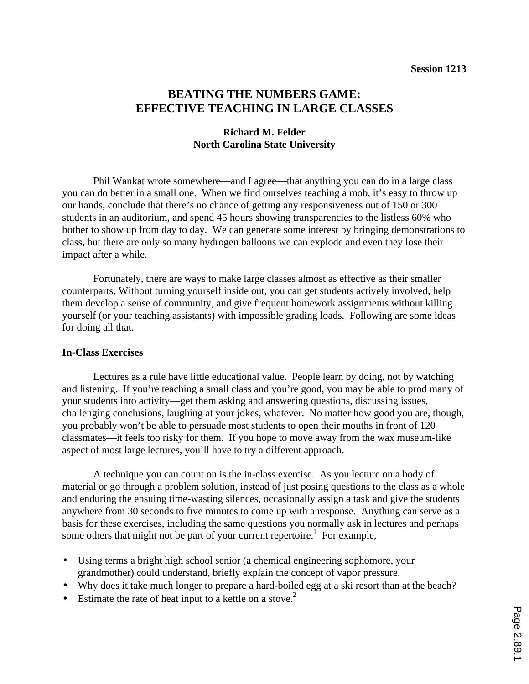# **BEATING THE NUMBERS GAME: EFFECTIVE TEACHING IN LARGE CLASSES**

# **Richard M. Felder North Carolina State University**

Phil Wankat wrote somewhere—and I agree—that anything you can do in a large class you can do better in a small one. When we find ourselves teaching a mob, it's easy to throw up our hands, conclude that there's no chance of getting any responsiveness out of 150 or 300 students in an auditorium, and spend 45 hours showing transparencies to the listless 60% who bother to show up from day to day. We can generate some interest by bringing demonstrations to class, but there are only so many hydrogen balloons we can explode and even they lose their impact after a while.

Fortunately, there are ways to make large classes almost as effective as their smaller counterparts. Without turning yourself inside out, you can get students actively involved, help them develop a sense of community, and give frequent homework assignments without killing yourself (or your teaching assistants) with impossible grading loads. Following are some ideas for doing all that.

#### **In-Class Exercises**

Lectures as a rule have little educational value. People learn by doing, not by watching and listening. If you're teaching a small class and you're good, you may be able to prod many of your students into activity—get them asking and answering questions, discussing issues, challenging conclusions, laughing at your jokes, whatever. No matter how good you are, though, you probably won't be able to persuade most students to open their mouths in front of 120 classmates—it feels too risky for them. If you hope to move away from the wax museum-like aspect of most large lectures, you'll have to try a different approach.

A technique you can count on is the in-class exercise. As you lecture on a body of material or go through a problem solution, instead of just posing questions to the class as a whole and enduring the ensuing time-wasting silences, occasionally assign a task and give the students anywhere from 30 seconds to five minutes to come up with a response. Anything can serve as a basis for these exercises, including the same questions you normally ask in lectures and perhaps some others that might not be part of your current repertoire.<sup>1</sup> For example,

- Using terms a bright high school senior (a chemical engineering sophomore, your grandmother) could understand, briefly explain the concept of vapor pressure.
- Why does it take much longer to prepare a hard-boiled egg at a ski resort than at the beach?
- Estimate the rate of heat input to a kettle on a stove.<sup>2</sup>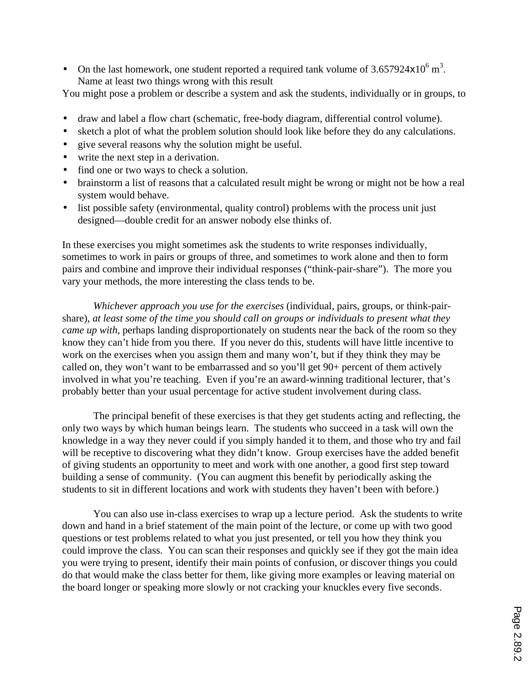• On the last homework, one student reported a required tank volume of  $3.657924\times10^6$  m<sup>3</sup>. Name at least two things wrong with this result

You might pose a problem or describe a system and ask the students, individually or in groups, to

- draw and label a flow chart (schematic, free-body diagram, differential control volume).
- sketch a plot of what the problem solution should look like before they do any calculations.
- give several reasons why the solution might be useful.
- write the next step in a derivation.
- find one or two ways to check a solution.
- brainstorm a list of reasons that a calculated result might be wrong or might not be how a real system would behave.
- list possible safety (environmental, quality control) problems with the process unit just designed—double credit for an answer nobody else thinks of.

In these exercises you might sometimes ask the students to write responses individually, sometimes to work in pairs or groups of three, and sometimes to work alone and then to form pairs and combine and improve their individual responses ("think-pair-share"). The more you vary your methods, the more interesting the class tends to be.

*Whichever approach you use for the exercises* (individual, pairs, groups, or think-pairshare), *at least some of the time you should call on groups or individuals to present what they came up with*, perhaps landing disproportionately on students near the back of the room so they know they can't hide from you there. If you never do this, students will have little incentive to work on the exercises when you assign them and many won't, but if they think they may be called on, they won't want to be embarrassed and so you'll get 90+ percent of them actively involved in what you're teaching. Even if you're an award-winning traditional lecturer, that's probably better than your usual percentage for active student involvement during class.

The principal benefit of these exercises is that they get students acting and reflecting, the only two ways by which human beings learn. The students who succeed in a task will own the knowledge in a way they never could if you simply handed it to them, and those who try and fail will be receptive to discovering what they didn't know. Group exercises have the added benefit of giving students an opportunity to meet and work with one another, a good first step toward building a sense of community. (You can augment this benefit by periodically asking the students to sit in different locations and work with students they haven't been with before.)

You can also use in-class exercises to wrap up a lecture period. Ask the students to write down and hand in a brief statement of the main point of the lecture, or come up with two good questions or test problems related to what you just presented, or tell you how they think you could improve the class. You can scan their responses and quickly see if they got the main idea you were trying to present, identify their main points of confusion, or discover things you could do that would make the class better for them, like giving more examples or leaving material on the board longer or speaking more slowly or not cracking your knuckles every five seconds.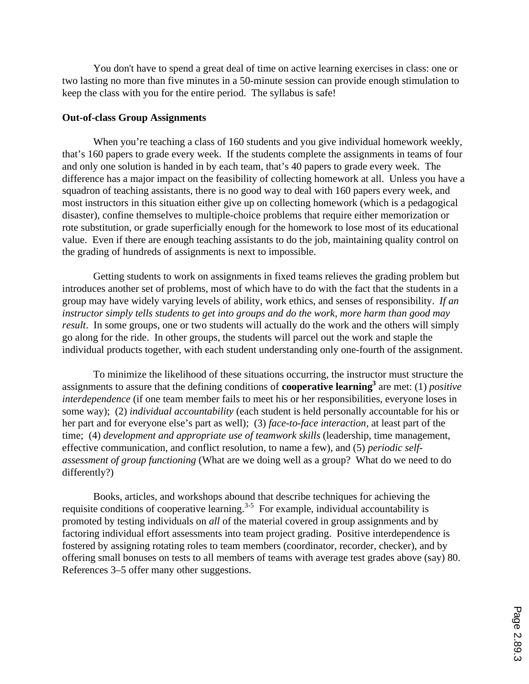You don't have to spend a great deal of time on active learning exercises in class: one or two lasting no more than five minutes in a 50-minute session can provide enough stimulation to keep the class with you for the entire period. The syllabus is safe!

#### **Out-of-class Group Assignments**

When you're teaching a class of 160 students and you give individual homework weekly, that's 160 papers to grade every week. If the students complete the assignments in teams of four and only one solution is handed in by each team, that's 40 papers to grade every week. The difference has a major impact on the feasibility of collecting homework at all. Unless you have a squadron of teaching assistants, there is no good way to deal with 160 papers every week, and most instructors in this situation either give up on collecting homework (which is a pedagogical disaster), confine themselves to multiple-choice problems that require either memorization or rote substitution, or grade superficially enough for the homework to lose most of its educational value. Even if there are enough teaching assistants to do the job, maintaining quality control on the grading of hundreds of assignments is next to impossible.

Getting students to work on assignments in fixed teams relieves the grading problem but introduces another set of problems, most of which have to do with the fact that the students in a group may have widely varying levels of ability, work ethics, and senses of responsibility. *If an instructor simply tells students to get into groups and do the work, more harm than good may result*. In some groups, one or two students will actually do the work and the others will simply go along for the ride. In other groups, the students will parcel out the work and staple the individual products together, with each student understanding only one-fourth of the assignment.

To minimize the likelihood of these situations occurring, the instructor must structure the assignments to assure that the defining conditions of **cooperative learning3** are met: (1) *positive interdependence* (if one team member fails to meet his or her responsibilities, everyone loses in some way); (2) *individual accountability* (each student is held personally accountable for his or her part and for everyone else's part as well); (3) *face-to-face interaction*, at least part of the time; (4) *development and appropriate use of teamwork skills* (leadership, time management, effective communication, and conflict resolution, to name a few), and (5) *periodic selfassessment of group functioning* (What are we doing well as a group? What do we need to do differently?)

Books, articles, and workshops abound that describe techniques for achieving the requisite conditions of cooperative learning.<sup>3-5</sup> For example, individual accountability is promoted by testing individuals on *all* of the material covered in group assignments and by factoring individual effort assessments into team project grading. Positive interdependence is fostered by assigning rotating roles to team members (coordinator, recorder, checker), and by offering small bonuses on tests to all members of teams with average test grades above (say) 80. References 3–5 offer many other suggestions.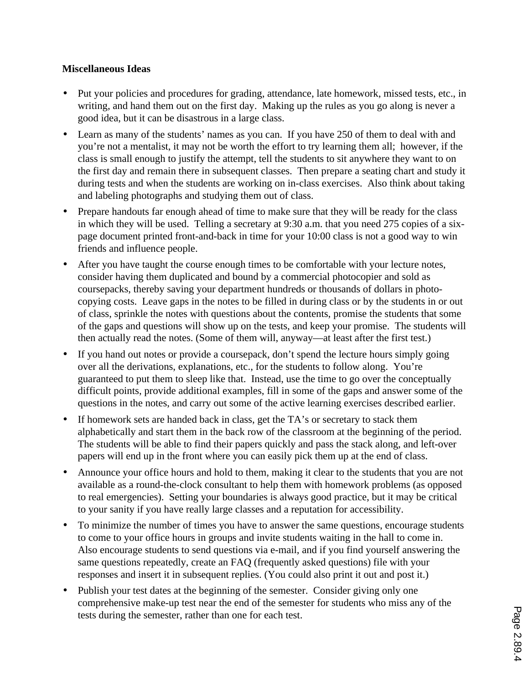### **Miscellaneous Ideas**

- Put your policies and procedures for grading, attendance, late homework, missed tests, etc., in writing, and hand them out on the first day. Making up the rules as you go along is never a good idea, but it can be disastrous in a large class.
- Learn as many of the students' names as you can. If you have 250 of them to deal with and you're not a mentalist, it may not be worth the effort to try learning them all; however, if the class is small enough to justify the attempt, tell the students to sit anywhere they want to on the first day and remain there in subsequent classes. Then prepare a seating chart and study it during tests and when the students are working on in-class exercises. Also think about taking and labeling photographs and studying them out of class.
- Prepare handouts far enough ahead of time to make sure that they will be ready for the class in which they will be used. Telling a secretary at 9:30 a.m. that you need 275 copies of a sixpage document printed front-and-back in time for your 10:00 class is not a good way to win friends and influence people.
- After you have taught the course enough times to be comfortable with your lecture notes, consider having them duplicated and bound by a commercial photocopier and sold as coursepacks, thereby saving your department hundreds or thousands of dollars in photocopying costs. Leave gaps in the notes to be filled in during class or by the students in or out of class, sprinkle the notes with questions about the contents, promise the students that some of the gaps and questions will show up on the tests, and keep your promise. The students will then actually read the notes. (Some of them will, anyway—at least after the first test.)
- If you hand out notes or provide a coursepack, don't spend the lecture hours simply going over all the derivations, explanations, etc., for the students to follow along. You're guaranteed to put them to sleep like that. Instead, use the time to go over the conceptually difficult points, provide additional examples, fill in some of the gaps and answer some of the questions in the notes, and carry out some of the active learning exercises described earlier.
- If homework sets are handed back in class, get the TA's or secretary to stack them alphabetically and start them in the back row of the classroom at the beginning of the period. The students will be able to find their papers quickly and pass the stack along, and left-over papers will end up in the front where you can easily pick them up at the end of class.
- Announce your office hours and hold to them, making it clear to the students that you are not available as a round-the-clock consultant to help them with homework problems (as opposed to real emergencies). Setting your boundaries is always good practice, but it may be critical to your sanity if you have really large classes and a reputation for accessibility.
- To minimize the number of times you have to answer the same questions, encourage students to come to your office hours in groups and invite students waiting in the hall to come in. Also encourage students to send questions via e-mail, and if you find yourself answering the same questions repeatedly, create an FAQ (frequently asked questions) file with your responses and insert it in subsequent replies. (You could also print it out and post it.)
- Publish your test dates at the beginning of the semester. Consider giving only one comprehensive make-up test near the end of the semester for students who miss any of the tests during the semester, rather than one for each test.